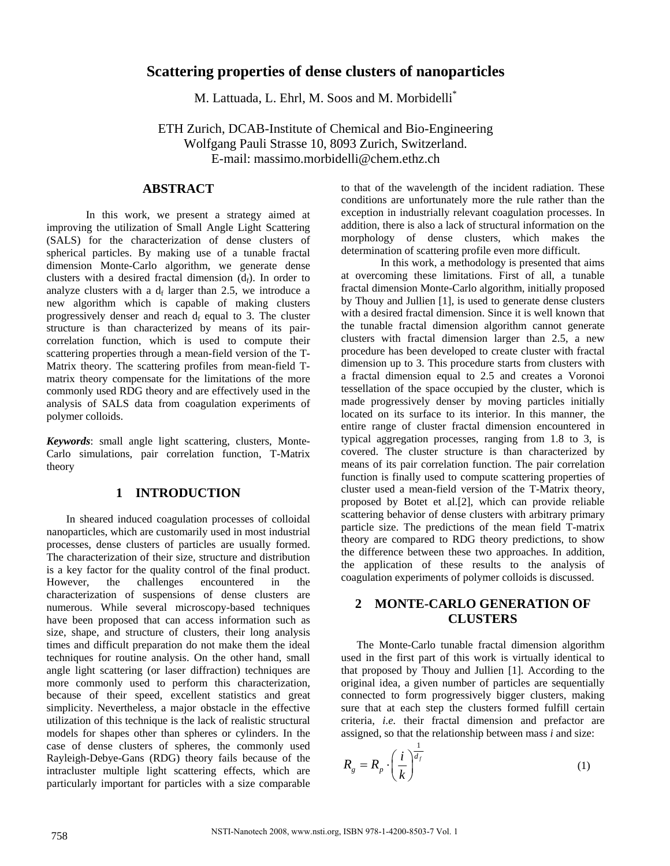# **Scattering properties of dense clusters of nanoparticles**

M. Lattuada, L. Ehrl, M. Soos and M. Morbidelli\*

ETH Zurich, DCAB-Institute of Chemical and Bio-Engineering Wolfgang Pauli Strasse 10, 8093 Zurich, Switzerland. E-mail: massimo.morbidelli[@chem.ethz.ch](mailto:prefect@sps.mot.com)

# **ABSTRACT**

In this work, we present a strategy aimed at improving the utilization of Small Angle Light Scattering (SALS) for the characterization of dense clusters of spherical particles. By making use of a tunable fractal dimension Monte-Carlo algorithm, we generate dense clusters with a desired fractal dimension  $(d_f)$ . In order to analyze clusters with a  $d_f$  larger than 2.5, we introduce a new algorithm which is capable of making clusters progressively denser and reach  $d_f$  equal to 3. The cluster structure is than characterized by means of its paircorrelation function, which is used to compute their scattering properties through a mean-field version of the T-Matrix theory. The scattering profiles from mean-field Tmatrix theory compensate for the limitations of the more commonly used RDG theory and are effectively used in the analysis of SALS data from coagulation experiments of polymer colloids.

*Keywords*: small angle light scattering, clusters, Monte-Carlo simulations, pair correlation function, T-Matrix theory

## **1 INTRODUCTION**

<span id="page-0-0"></span>In sheared induced coagulation processes of colloidal nanoparticles, which are customarily used in most industrial processes, dense clusters of particles are usually formed. The characterization of their size, structure and distribution is a key factor for the quality control of the final product. However, the challenges encountered in the characterization of suspensions of dense clusters are numerous. While several microscopy-based techniques have been proposed that can access information such as size, shape, and structure of clusters, their long analysis times and difficult preparation do not make them the ideal techniques for routine analysis. On the other hand, small angle light scattering (or laser diffraction) techniques are more commonly used to perform this characterization, because of their speed, excellent statistics and great simplicity. Nevertheless, a major obstacle in the effective utilization of this technique is the lack of realistic structural models for shapes other than spheres or cylinders. In the case of dense clusters of spheres, the commonly used Rayleigh-Debye-Gans (RDG) theory fails because of the intracluster multiple light scattering effects, which are particularly important for particles with a size comparable to that of the wavelength of the incident radiation. These conditions are unfortunately more the rule rather than the exception in industrially relevant coagulation processes. In addition, there is also a lack of structural information on the morphology of dense clusters, which makes the determination of scattering profile even more difficult.

In this work, a methodology is presented that aims at overcoming these limitations. First of all, a tunable fractal dimension Monte-Carlo algorithm, initially proposed by Thouy and Jullien [1], is used to generate dense clusters with a desired fractal dimension. Since it is well known that the tunable fractal dimension algorithm cannot generate clusters with fractal dimension larger than 2.5, a new procedure has been developed to create cluster with fractal dimension up to 3. This procedure starts from clusters with a fractal dimension equal to 2.5 and creates a Voronoi tessellation of the space occupied by the cluster, which is made progressively denser by moving particles initially located on its surface to its interior. In this manner, the entire range of cluster fractal dimension encountered in typical aggregation processes, ranging from 1.8 to 3, is covered. The cluster structure is than characterized by means of its pair correlation function. The pair correlation function is finally used to compute scattering properties of cluster used a mean-field version of the T-Matrix theory, proposed by Botet et al.[2], which can provide reliable scattering behavior of dense clusters with arbitrary primary particle size. The predictions of the mean field T-matrix theory are compared to RDG theory predictions, to show the difference between these two approaches. In addition, the application of these results to the analysis of coagulation experiments of polymer colloids is discussed.

## **2 MONTE-CARLO GENERATION OF CLUSTERS**

The Monte-Carlo tunable fractal dimension algorithm used in the first part of this work is virtually identical to that proposed by Thouy and Jullien [1]. According to the original idea, a given number of particles are sequentially connected to form progressively bigger clusters, making sure that at each step the clusters formed fulfill certain criteria, *i.e.* their fractal dimension and prefactor are assigned, so that the relationship between mass *i* and size:

$$
R_g = R_p \cdot \left(\frac{i}{k}\right)^{\frac{1}{d_f}}
$$
 (1)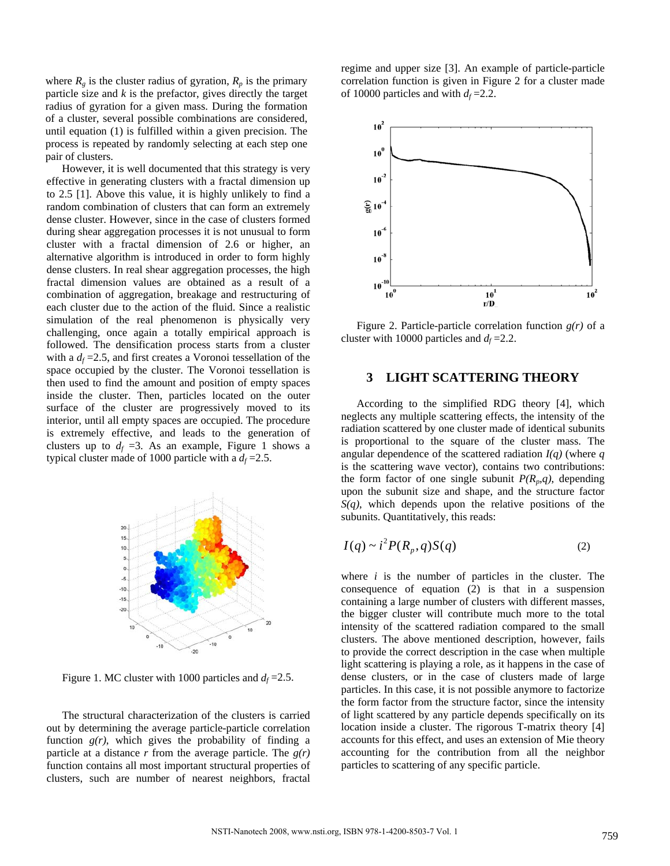where  $R_g$  is the cluster radius of gyration,  $R_p$  is the primary particle size and *k* is the prefactor, gives directly the target radius of gyration for a given mass. During the formation of a cluster, several possible combinations are considered, until equation [\(1\)](#page-0-0) is fulfilled within a given precision. The process is repeated by randomly selecting at each step one pair of clusters.

However, it is well documented that this strategy is very effective in generating clusters with a fractal dimension up to 2.5 [1]. Above this value, it is highly unlikely to find a random combination of clusters that can form an extremely dense cluster. However, since in the case of clusters formed during shear aggregation processes it is not unusual to form cluster with a fractal dimension of 2.6 or higher, an alternative algorithm is introduced in order to form highly dense clusters. In real shear aggregation processes, the high fractal dimension values are obtained as a result of a combination of aggregation, breakage and restructuring of each cluster due to the action of the fluid. Since a realistic simulation of the real phenomenon is physically very challenging, once again a totally empirical approach is followed. The densification process starts from a cluster with a  $d_f = 2.5$ , and first creates a Voronoi tessellation of the space occupied by the cluster. The Voronoi tessellation is then used to find the amount and position of empty spaces inside the cluster. Then, particles located on the outer surface of the cluster are progressively moved to its interior, until all empty spaces are occupied. The procedure is extremely effective, and leads to the generation of clusters up to  $d_f = 3$ . As an example, Figure 1 shows a typical cluster made of 1000 particle with a  $d_f = 2.5$ .

<span id="page-1-0"></span>

Figure 1. MC cluster with 1000 particles and  $d_f = 2.5$ .

The structural characterization of the clusters is carried out by determining the average particle-particle correlation function  $g(r)$ , which gives the probability of finding a particle at a distance *r* from the average particle. The *g(r)* function contains all most important structural properties of clusters, such are number of nearest neighbors, fractal regime and upper size [3]. An example of particle-particle correlation function is given in Figure 2 for a cluster made of 10000 particles and with  $d_f = 2.2$ .



Figure 2. Particle-particle correlation function *g(r)* of a cluster with 10000 particles and  $d_f = 2.2$ .

#### **3 LIGHT SCATTERING THEORY**

According to the simplified RDG theory [4], which neglects any multiple scattering effects, the intensity of the radiation scattered by one cluster made of identical subunits is proportional to the square of the cluster mass. The angular dependence of the scattered radiation *I(q)* (where *q* is the scattering wave vector), contains two contributions: the form factor of one single subunit  $P(R_p,q)$ , depending upon the subunit size and shape, and the structure factor *S(q)*, which depends upon the relative positions of the subunits. Quantitatively, this reads:

$$
I(q) \sim i^2 P(R_p, q) S(q) \tag{2}
$$

where *i* is the number of particles in the cluster. The consequence of equation [\(2\)](#page-1-0) is that in a suspension containing a large number of clusters with different masses, the bigger cluster will contribute much more to the total intensity of the scattered radiation compared to the small clusters. The above mentioned description, however, fails to provide the correct description in the case when multiple light scattering is playing a role, as it happens in the case of dense clusters, or in the case of clusters made of large particles. In this case, it is not possible anymore to factorize the form factor from the structure factor, since the intensity of light scattered by any particle depends specifically on its location inside a cluster. The rigorous T-matrix theory [4] accounts for this effect, and uses an extension of Mie theory accounting for the contribution from all the neighbor particles to scattering of any specific particle.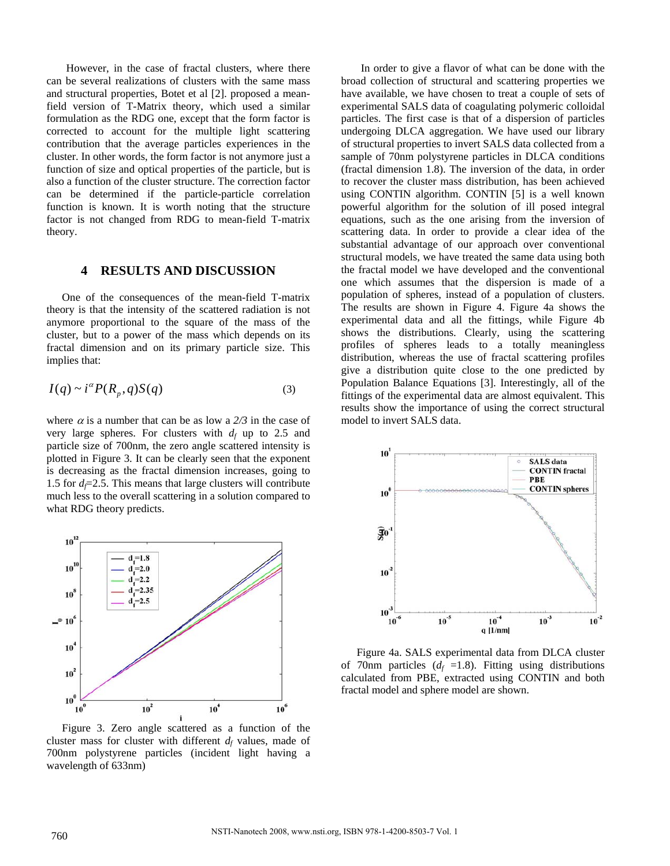However, in the case of fractal clusters, where there can be several realizations of clusters with the same mass and structural properties, Botet et al [2]. proposed a meanfield version of T-Matrix theory, which used a similar formulation as the RDG one, except that the form factor is corrected to account for the multiple light scattering contribution that the average particles experiences in the cluster. In other words, the form factor is not anymore just a function of size and optical properties of the particle, but is also a function of the cluster structure. The correction factor can be determined if the particle-particle correlation function is known. It is worth noting that the structure factor is not changed from RDG to mean-field T-matrix theory.

### **4 RESULTS AND DISCUSSION**

One of the consequences of the mean-field T-matrix theory is that the intensity of the scattered radiation is not anymore proportional to the square of the mass of the cluster, but to a power of the mass which depends on its fractal dimension and on its primary particle size. This implies that:

$$
I(q) \sim i^{\alpha} P(R_p, q) S(q) \tag{3}
$$

where  $\alpha$  is a number that can be as low a 2/3 in the case of very large spheres. For clusters with  $d_f$  up to 2.5 and particle size of 700nm, the zero angle scattered intensity is plotted in Figure 3. It can be clearly seen that the exponent is decreasing as the fractal dimension increases, going to 1.5 for  $d_f$ =2.5. This means that large clusters will contribute much less to the overall scattering in a solution compared to what RDG theory predicts.



Figure 3. Zero angle scattered as a function of the cluster mass for cluster with different  $d_f$  values, made of 700nm polystyrene particles (incident light having a wavelength of 633nm)

In order to give a flavor of what can be done with the broad collection of structural and scattering properties we have available, we have chosen to treat a couple of sets of experimental SALS data of coagulating polymeric colloidal particles. The first case is that of a dispersion of particles undergoing DLCA aggregation. We have used our library of structural properties to invert SALS data collected from a sample of 70nm polystyrene particles in DLCA conditions (fractal dimension 1.8). The inversion of the data, in order to recover the cluster mass distribution, has been achieved using CONTIN algorithm. CONTIN [5] is a well known powerful algorithm for the solution of ill posed integral equations, such as the one arising from the inversion of scattering data. In order to provide a clear idea of the substantial advantage of our approach over conventional structural models, we have treated the same data using both the fractal model we have developed and the conventional one which assumes that the dispersion is made of a population of spheres, instead of a population of clusters. The results are shown in Figure 4. Figure 4a shows the experimental data and all the fittings, while Figure 4b shows the distributions. Clearly, using the scattering profiles of spheres leads to a totally meaningless distribution, whereas the use of fractal scattering profiles give a distribution quite close to the one predicted by Population Balance Equations [3]. Interestingly, all of the fittings of the experimental data are almost equivalent. This results show the importance of using the correct structural model to invert SALS data.



Figure 4a. SALS experimental data from DLCA cluster of 70nm particles  $(d_f = 1.8)$ . Fitting using distributions calculated from PBE, extracted using CONTIN and both fractal model and sphere model are shown.